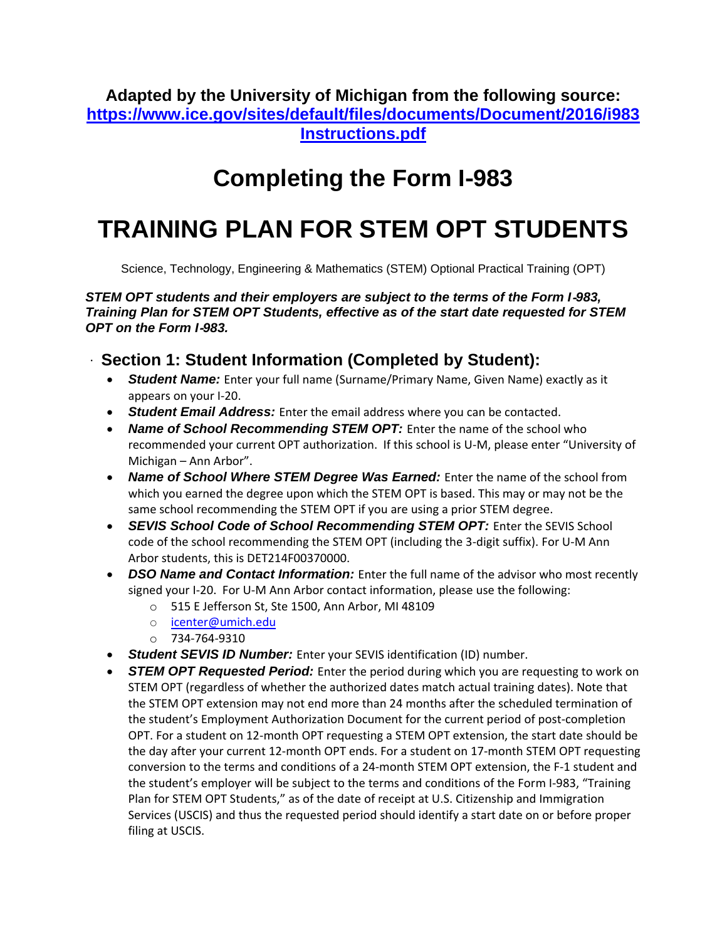**Adapted by the University of Michigan from the following source: [https://www.ice.gov/sites/default/files/documents/Document/2016/i983](https://www.ice.gov/sites/default/files/documents/Document/2016/i983Instructions.pdf) [Instructions.pdf](https://www.ice.gov/sites/default/files/documents/Document/2016/i983Instructions.pdf)**

## **Completing the Form I**‐**983**

# **TRAINING PLAN FOR STEM OPT STUDENTS**

Science, Technology, Engineering & Mathematics (STEM) Optional Practical Training (OPT)

*STEM OPT students and their employers are subject to the terms of the Form I*‐*983, Training Plan for STEM OPT Students, effective as of the start date requested for STEM OPT on the Form I*‐*983.*

#### **Section 1: Student Information (Completed by Student):**

- *Student Name:* Enter your full name (Surname/Primary Name, Given Name) exactly as it appears on your I‐20.
- *Student Email Address:* Enter the email address where you can be contacted.
- *Name of School Recommending STEM OPT:* Enter the name of the school who recommended your current OPT authorization. If this school is U-M, please enter "University of Michigan – Ann Arbor".
- *Name of School Where STEM Degree Was Earned:* Enter the name of the school from which you earned the degree upon which the STEM OPT is based. This may or may not be the same school recommending the STEM OPT if you are using a prior STEM degree.
- **SEVIS School Code of School Recommending STEM OPT:** Enter the SEVIS School code of the school recommending the STEM OPT (including the 3-digit suffix). For U-M Ann Arbor students, this is DET214F00370000.
- *DSO Name and Contact Information:* Enter the full name of the advisor who most recently signed your I-20. For U-M Ann Arbor contact information, please use the following:
	- o 515 E Jefferson St, Ste 1500, Ann Arbor, MI 48109
	- o [icenter@umich.edu](mailto:icenter@umich.edu)
	- o 734-764-9310
- *Student SEVIS ID Number:* Enter your SEVIS identification (ID) number.
- *STEM OPT Requested Period:* Enter the period during which you are requesting to work on STEM OPT (regardless of whether the authorized dates match actual training dates). Note that the STEM OPT extension may not end more than 24 months after the scheduled termination of the student's Employment Authorization Document for the current period of post‐completion OPT. For a student on 12‐month OPT requesting a STEM OPT extension, the start date should be the day after your current 12‐month OPT ends. For a student on 17‐month STEM OPT requesting conversion to the terms and conditions of a 24‐month STEM OPT extension, the F‐1 student and the student's employer will be subject to the terms and conditions of the Form I‐983, "Training Plan for STEM OPT Students," as of the date of receipt at U.S. Citizenship and Immigration Services (USCIS) and thus the requested period should identify a start date on or before proper filing at USCIS.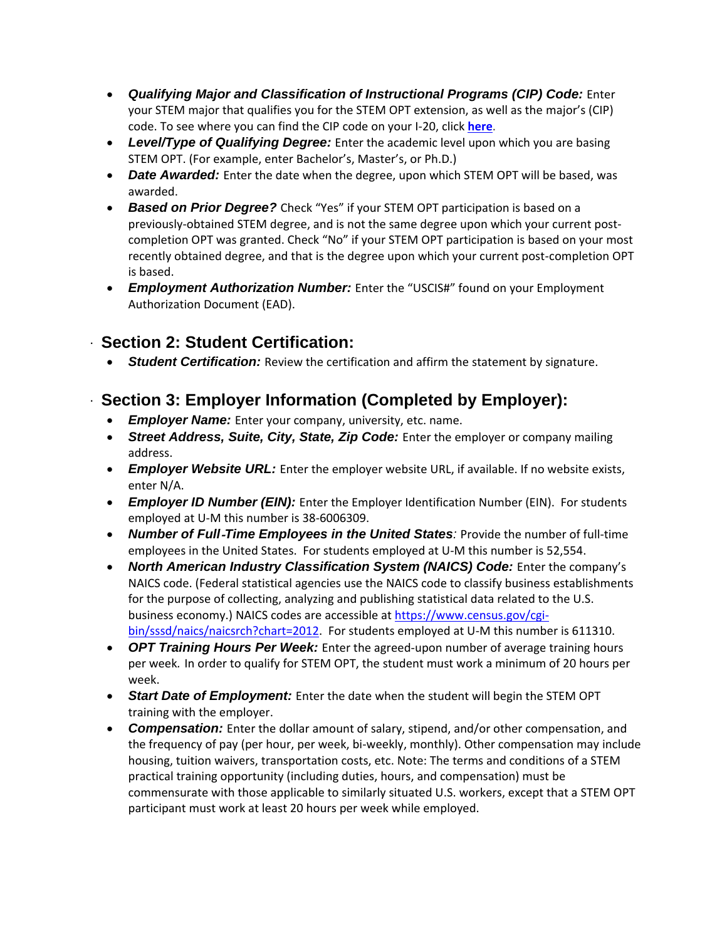- *Qualifying Major and Classification of Instructional Programs (CIP) Code:* Enter your STEM major that qualifies you for the STEM OPT extension, as well as the major's (CIP) code. To see where you can find the CIP code on your I-20, click **[here](http://www.internationalcenter.umich.edu/sites/default/files/CIP%20code.png)**.
- *Level/Type of Qualifying Degree:* Enter the academic level upon which you are basing STEM OPT. (For example, enter Bachelor's, Master's, or Ph.D.)
- *Date Awarded:* Enter the date when the degree, upon which STEM OPT will be based, was awarded.
- *Based on Prior Degree?* Check "Yes" if your STEM OPT participation is based on a previously‐obtained STEM degree, and is not the same degree upon which your current post‐ completion OPT was granted. Check "No" if your STEM OPT participation is based on your most recently obtained degree, and that is the degree upon which your current post-completion OPT is based.
- *Employment Authorization Number:* Enter the "USCIS#" found on your Employment Authorization Document (EAD).

#### **Section 2: Student Certification:**

*Student Certification:* Review the certification and affirm the statement by signature.

#### **Section 3: Employer Information (Completed by Employer):**

- *Employer Name:* Enter your company, university, etc. name.
- *Street Address, Suite, City, State, Zip Code:* Enter the employer or company mailing address.
- **Employer Website URL:** Enter the employer website URL, if available. If no website exists, enter N/A.
- *Employer ID Number (EIN):* Enter the Employer Identification Number (EIN). For students employed at U-M this number is 38-6006309.
- *Number of Full*‐*Time Employees in the United States:* Provide the number of full‐time employees in the United States. For students employed at U-M this number is 52,554.
- *North American Industry Classification System (NAICS) Code:* Enter the company's NAICS code. (Federal statistical agencies use the NAICS code to classify business establishments for the purpose of collecting, analyzing and publishing statistical data related to the U.S. business economy.) NAICS codes are accessible a[t https://www.census.gov/cgi](https://www.census.gov/cgi-bin/sssd/naics/naicsrch?chart=2012)[bin/sssd/naics/naicsrch?chart=2012.](https://www.census.gov/cgi-bin/sssd/naics/naicsrch?chart=2012) For students employed at U-M this number is 611310.
- OPT Training Hours Per Week: Enter the agreed-upon number of average training hours per week*.* In order to qualify for STEM OPT, the student must work a minimum of 20 hours per week.
- *Start Date of Employment:* Enter the date when the student will begin the STEM OPT training with the employer.
- *Compensation:* Enter the dollar amount of salary, stipend, and/or other compensation, and the frequency of pay (per hour, per week, bi-weekly, monthly). Other compensation may include housing, tuition waivers, transportation costs, etc. Note: The terms and conditions of a STEM practical training opportunity (including duties, hours, and compensation) must be commensurate with those applicable to similarly situated U.S. workers, except that a STEM OPT participant must work at least 20 hours per week while employed.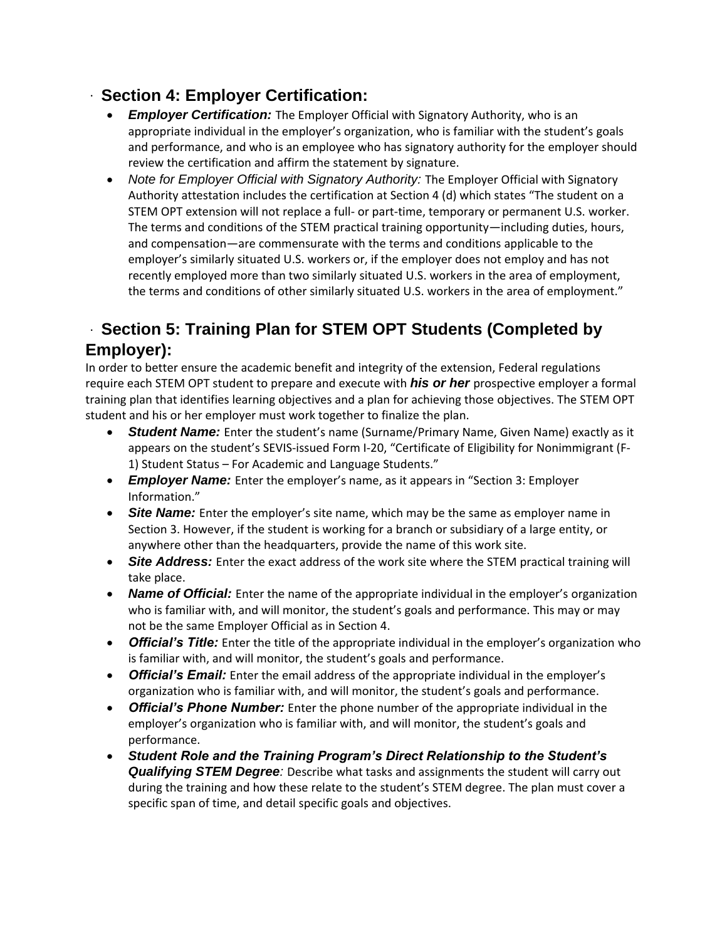#### **Section 4: Employer Certification:**

- *Employer Certification:* The Employer Official with Signatory Authority, who is an appropriate individual in the employer's organization, who is familiar with the student's goals and performance, and who is an employee who has signatory authority for the employer should review the certification and affirm the statement by signature.
- *Note for Employer Official with Signatory Authority:* The Employer Official with Signatory Authority attestation includes the certification at Section 4 (d) which states "The student on a STEM OPT extension will not replace a full‐ or part‐time, temporary or permanent U.S. worker. The terms and conditions of the STEM practical training opportunity—including duties, hours, and compensation—are commensurate with the terms and conditions applicable to the employer's similarly situated U.S. workers or, if the employer does not employ and has not recently employed more than two similarly situated U.S. workers in the area of employment, the terms and conditions of other similarly situated U.S. workers in the area of employment."

### **Section 5: Training Plan for STEM OPT Students (Completed by Employer):**

In order to better ensure the academic benefit and integrity of the extension, Federal regulations require each STEM OPT student to prepare and execute with *his or her* prospective employer a formal training plan that identifies learning objectives and a plan for achieving those objectives. The STEM OPT student and his or her employer must work together to finalize the plan.

- *Student Name:* Enter the student's name (Surname/Primary Name, Given Name) exactly as it appears on the student's SEVIS-issued Form I-20, "Certificate of Eligibility for Nonimmigrant (F-1) Student Status – For Academic and Language Students."
- *Employer Name:* Enter the employer's name, as it appears in "Section 3: Employer Information."
- Site Name: Enter the employer's site name, which may be the same as employer name in Section 3. However, if the student is working for a branch or subsidiary of a large entity, or anywhere other than the headquarters, provide the name of this work site.
- **Site Address:** Enter the exact address of the work site where the STEM practical training will take place.
- *Name of Official:* Enter the name of the appropriate individual in the employer's organization who is familiar with, and will monitor, the student's goals and performance. This may or may not be the same Employer Official as in Section 4.
- *Official's Title:* Enter the title of the appropriate individual in the employer's organization who is familiar with, and will monitor, the student's goals and performance.
- *Official's Email:* Enter the email address of the appropriate individual in the employer's organization who is familiar with, and will monitor, the student's goals and performance.
- *Official's Phone Number:* Enter the phone number of the appropriate individual in the employer's organization who is familiar with, and will monitor, the student's goals and performance.
- *Student Role and the Training Program's Direct Relationship to the Student's Qualifying STEM Degree:* Describe what tasks and assignments the student will carry out during the training and how these relate to the student's STEM degree. The plan must cover a specific span of time, and detail specific goals and objectives.